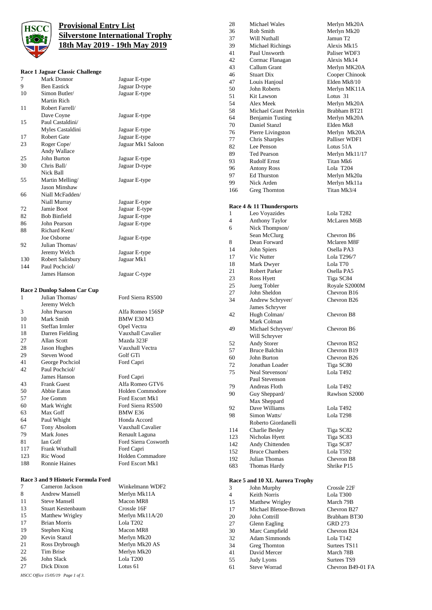

## **Provisional Entry List Silverstone International Trophy 18th May 2019 - 19th May 2019**

## **Race 1 Jaguar Classic Challe**

|     | Kace i Jaguar Ciassic Chanenge     |                           |
|-----|------------------------------------|---------------------------|
| 7   | Mark Donnor                        | Jaguar E-type             |
| 9   | <b>Ben Eastick</b>                 | Jaguar D-type             |
| 10  | Simon Butler/                      | Jaguar E-type             |
|     | Martin Rich                        |                           |
| 11  | Robert Farrell/                    |                           |
|     | Dave Coyne                         | Jaguar E-type             |
| 15  | Paul Castaldini/                   |                           |
|     | Myles Castaldini                   | Jaguar E-type             |
| 17  | Robert Gate                        | Jaguar E-type             |
| 23  | Roger Cope/                        | Jaguar Mk1 Saloon         |
|     | Andy Wallace                       |                           |
| 25  | John Burton                        | Jaguar E-type             |
| 30  | Chris Ball/                        | Jaguar D-type             |
|     | Nick Ball                          |                           |
| 55  | Martin Melling/                    | Jaguar E-type             |
|     | Jason Minshaw                      |                           |
| 66  | Niall McFadden/                    |                           |
|     | Niall Murray                       | Jaguar E-type             |
| 72  | Jamie Boot                         |                           |
| 82  |                                    | Jaguar E-type             |
|     | <b>Bob Binfield</b>                | Jaguar E-type             |
| 86  | John Pearson                       | Jaguar E-type             |
| 88  | Richard Kent/                      |                           |
|     | Joe Osborne                        | Jaguar E-type             |
| 92  | Julian Thomas/                     |                           |
|     | Jeremy Welch                       | Jaguar E-type             |
| 130 | Robert Salisbury                   | Jaguar Mk1                |
| 144 | Paul Pochciol/                     |                           |
|     | James Hanson                       | Jaguar C-type             |
|     |                                    |                           |
|     | Race 2 Dunlop Saloon Car Cup       |                           |
|     |                                    |                           |
| 1   | Julian Thomas/                     | Ford Sierra RS500         |
|     |                                    |                           |
| 3   | Jeremy Welch<br>John Pearson       | Alfa Romeo 156SP          |
| 10  | Mark Smith                         |                           |
|     |                                    | BMW E30 M3                |
| 11  | Steffan Irmler                     | Opel Vectra               |
| 18  | Darren Fielding                    | Vauxhall Cavalier         |
| 27  | Allan Scott                        | Mazda 323F                |
| 28  | Jason Hughes                       | Vauxhall Vectra           |
| 29  | Steven Wood                        | Golf GTi                  |
| 41  | George Pochciol                    | Ford Capri                |
| 42  | Paul Pochciol/                     |                           |
|     | James Hanson                       | Ford Capri                |
| 43  | <b>Frank Guest</b>                 | Alfa Romeo GTV6           |
| 50  | Abbie Eaton                        | Holden Commodore          |
| 57  | Joe Gomm                           | Ford Escort Mk1           |
| 60  | Mark Wright                        | Ford Sierra RS500         |
| 63  | Max Goff                           | <b>BMW E36</b>            |
| 64  | Paul Whight                        | Honda Accord              |
| 67  | Tony Absolom                       | Vauxhall Cavalier         |
| 79  | <b>Mark Jones</b>                  | Renault Laguna            |
| 81  | <b>Ian Goff</b>                    | Ford Sierra Cosworth      |
| 117 | Frank Wrathall                     | Ford Capri                |
| 123 | Ric Wood                           | Holden Commadore          |
| 188 | <b>Ronnie Haines</b>               | Ford Escort Mk1           |
|     | Race 3 and 9 Historic Formula Ford |                           |
| 7   | Cameron Jackson                    | Winkelmann WDF2           |
| 8   | <b>Andrew Mansell</b>              |                           |
| 11  | <b>Steve Mansell</b>               | Merlyn Mk11A<br>Macon MR8 |

| 28             | <b>Michael Wales</b>                     | Merlyn Mk20A                 |
|----------------|------------------------------------------|------------------------------|
| 36             | Rob Smith                                | Merlyn Mk20                  |
| 37             | Will Nuthall                             | Jamun T <sub>2</sub>         |
| 39             | Michael Richings                         | Alexis Mk15                  |
| 41             | Paul Unsworth                            | Paliser WDF3                 |
| 42             | Cormac Flanagan                          | Alexis Mk14                  |
| 43             | Callum Grant                             | Merlyn MK20A                 |
| 46             | <b>Stuart Dix</b>                        | Cooper Chinook               |
| 47             | Louis Hanjoul                            | Elden Mk8/10                 |
| 50             | <b>John Roberts</b>                      | Merlyn MK11A                 |
| 51             | Kit Lawson                               | Lotus 31                     |
| 54             | Alex Meek                                | Merlyn Mk20A                 |
| 58<br>64       | Michael Grant Peterkin                   | Brabham BT21<br>Merlyn Mk20A |
| 70             | <b>Benjamin Tusting</b><br>Daniel Stanzl | Elden Mk8                    |
| 76             | Pierre Livingston                        | Merlyn Mk20A                 |
| 77             | Chris Sharples                           | Palliser WDF1                |
| 82             | Lee Penson                               | Lotus 51A                    |
| 89             | <b>Ted Pearson</b>                       | Merlyn Mk11/17               |
| 93             | <b>Rudolf Ernst</b>                      | Titan Mk6                    |
| 96             | <b>Antony Ross</b>                       | Lola T204                    |
| 97             | <b>Ed Thurston</b>                       | Merlyn Mk20a                 |
| 99             | Nick Arden                               | Merlyn Mk11a                 |
| 166            | <b>Greg Thornton</b>                     | Titan Mk3/4                  |
|                |                                          |                              |
|                | Race 4 & 11 Thundersports                |                              |
| 1              | Leo Voyazides                            | Lola T282                    |
| 4              | Anthony Taylor                           | McLaren M6B                  |
| 6              | Nick Thompson/                           |                              |
|                | Sean McClurg                             | Chevron B6                   |
| 8<br>14        | Dean Forward<br>John Spiers              | Mclaren M8F<br>Osella PA3    |
| 17             | Vic Nutter                               | Lola T296/7                  |
| 18             | Mark Dwyer                               | Lola T70                     |
| 21             | Robert Parker                            | Osella PA5                   |
| 23             | Ross Hyett                               | Tiga SC84                    |
| 25             | Juerg Tobler                             | Royale S2000M                |
| 27             | John Sheldon                             | Chevron B16                  |
| 34             | Andrew Schryver/                         | Chevron B26                  |
|                | James Schryver                           |                              |
| 42             | Hugh Colman/                             | Chevron B8                   |
|                | Mark Colman                              |                              |
| 49             | Michael Schryver/                        | Chevron B6                   |
|                | Will Schryver                            |                              |
| 52<br>57       | Andy Storer<br><b>Bruce Balchin</b>      | Chevron B52<br>Chevron B19   |
| 60             | John Burton                              | Chevron B26                  |
| 72             | Jonathan Loader                          | Tiga SC80                    |
| 75             | Neal Stevenson/                          | Lola T492                    |
|                | Paul Stevenson                           |                              |
| 79             | Andreas Floth                            | Lola T492                    |
| 90             | Guy Sheppard/                            | Rawlson S2000                |
|                | Max Sheppard                             |                              |
| 92             | Dave Williams                            | Lola T492                    |
| 98             | Simon Watts/                             | Lola T <sub>298</sub>        |
|                | Roberto Giordanelli                      |                              |
| 114            | Charlie Besley                           | Tiga SC82                    |
| 123<br>142     | Nicholas Hyett<br>Andy Chittenden        | Tiga SC83<br>Tiga SC87       |
| 152            | <b>Bruce Chambers</b>                    | Lola T592                    |
| 192            | Julian Thomas                            | Chevron B8                   |
| 683            | Thomas Hardy                             | Shrike P15                   |
|                |                                          |                              |
|                | Race 5 and 10 XL Aurora Trophy           |                              |
| 3              | John Murphy                              | Crossle 22F                  |
| $\overline{4}$ | <b>Keith Norris</b>                      | Lola T300                    |
| 15             | Matthew Wrigley                          | March 79B                    |
| 17             | Michael Bletsoe-Brown                    | Chevron B27                  |
|                |                                          |                              |
| 20             | John Cottrill                            | Brabham BT30                 |
| 27             | Glenn Eagling                            | <b>GRD 273</b>               |
| 30             | Marc Campfield                           | Chevron B24                  |
| 32             | <b>Adam Simmonds</b>                     | Lola T142                    |
| 34<br>41       | Greg Thornton<br>David Mercer            | Surtees TS11<br>March 78B    |

Judy Lyons

Steve Worrad Chevron B49-01 FA

*HSCC Office 15/05/19 Page 1 of 3.* Dick Dixon

20 Kevin Stanzl<br>21 Ross Drybrough

Brian Morris

15 Matthew Wrigley Merlyn Mk11A/20<br>17 Brian Morris Lola T202

Merlyn Mk20 AS

19 Stephen King Macon MR8<br>20 Kevin Stanzl Merlyn Mk20

22 Tim Brise Merlyn Mk20 John Slack Lola T200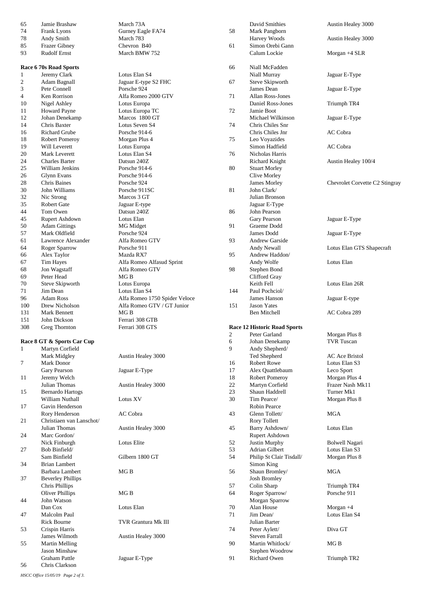| 65             | Jamie Brashaw              | March 73A                     |
|----------------|----------------------------|-------------------------------|
| 74             | Frank Lyons                | Gurney Eagle FA74             |
| 78             | Andy Smith                 | March 783                     |
| 85             | <b>Frazer Gibney</b>       | Chevron B40                   |
| 93             | <b>Rudolf Ernst</b>        | March BMW 752                 |
|                |                            |                               |
|                | Race 6 70s Road Sports     |                               |
| 1              |                            | Lotus Elan S4                 |
|                | Jeremy Clark               |                               |
| $\overline{c}$ | Adam Bagnall               | Jaguar E-type S2 FHC          |
| 3              | Pete Connell               | Porsche 924                   |
| $\overline{4}$ | Ken Rorrison               | Alfa Romeo 2000 GTV           |
| 10             | Nigel Ashley               | Lotus Europa                  |
| 11             | <b>Howard Payne</b>        | Lotus Europa TC               |
| 12             | Johan Denekamp             | Marcos 1800 GT                |
| 14             | Chris Baxter               | Lotus Seven S4                |
| 16             | <b>Richard Grube</b>       | Porsche 914-6                 |
| 18             | Robert Pomeroy             | Morgan Plus 4                 |
| 19             | Will Leverett              | Lotus Europa                  |
| 20             | Mark Leverett              | Lotus Elan S4                 |
| 24             | <b>Charles Barter</b>      | Datsun 240Z                   |
| 25             | William Jenkins            | Porsche 914-6                 |
|                |                            |                               |
| 26             | Glynn Evans                | Porsche 914-6                 |
| 28             | <b>Chris Baines</b>        | Porsche 924                   |
| 30             | John Williams              | Porsche 911SC                 |
| 32             | Nic Strong                 | Marcos 3 GT                   |
| 35             | <b>Robert Gate</b>         | Jaguar E-type                 |
| 44             | Tom Owen                   | Datsun 240Z                   |
| 45             | Rupert Ashdown             | Lotus Elan                    |
| 50             | <b>Adam Gittings</b>       | <b>MG</b> Midget              |
| 57             | Mark Oldfield              | Porsche 924                   |
| 61             | Lawrence Alexander         | Alfa Romeo GTV                |
| 64             | <b>Roger Sparrow</b>       | Porsche 911                   |
| 66             | Alex Taylor                | Mazda RX7                     |
| 67             |                            |                               |
|                | Tim Hayes                  | Alfa Romeo Alfasud Sprint     |
| 68             | Jon Wagstaff               | Alfa Romeo GTV                |
| 69             | Peter Head                 | MG B                          |
| 70             | Steve Skipworth            | Lotus Europa                  |
| 71             | Jim Dean                   | Lotus Elan S4                 |
| 96             | <b>Adam Ross</b>           | Alfa Romeo 1750 Spider Veloce |
| 100            | Drew Nicholson             | Alfa Romeo GTV / GT Junior    |
| 131            | Mark Bennett               | MG <sub>B</sub>               |
| 151            | John Dickson               | Ferrari 308 GTB               |
| 308            | Greg Thornton              | Ferrari 308 GTS               |
|                |                            |                               |
|                | Race 8 GT & Sports Car Cup |                               |
| 1              | Martyn Corfield            |                               |
|                | Mark Midgley               | Austin Healey 3000            |
| 7              | Mark Donor                 |                               |
|                | Gary Pearson               | Jaguar E-Type                 |
| 11             | Jeremy Welch               |                               |
|                | Julian Thomas              | Austin Healey 3000            |
|                |                            |                               |
| 15             | <b>Bernardo Hartogs</b>    |                               |
|                | William Nuthall            | Lotus XV                      |
| 17             | Gavin Henderson            |                               |
|                | Rory Henderson             | AC Cobra                      |
| 21             | Christiaen van Lanschot/   |                               |
|                | Julian Thomas              | Austin Healey 3000            |
| 24             | Marc Gordon/               |                               |
|                | Nick Finburgh              | Lotus Elite                   |
| 27             | Bob Binfield/              |                               |
|                | Sam Binfield               | Gilbern 1800 GT               |
| 34             | <b>Brian Lambert</b>       |                               |
|                | <b>Barbara Lambert</b>     | MG B                          |
| 37             | <b>Beverley Phillips</b>   |                               |
|                | <b>Chris Phillips</b>      |                               |
|                |                            |                               |
|                | <b>Oliver Phillips</b>     | MG B                          |
| 44             | John Watson                |                               |
|                | Dan Cox                    | Lotus Elan                    |
| 47             | Malcolm Paul               |                               |
|                | <b>Rick Bourne</b>         | TVR Grantura Mk III           |
| 53             | Crispin Harris             |                               |
|                | James Wilmoth              | Austin Healey 3000            |
| 55             | <b>Martin Melling</b>      |                               |
|                | <b>Jason Minshaw</b>       |                               |
|                | <b>Graham Pattle</b>       | Jaguar E-Type                 |
| 56             | Chris Clarkson             |                               |
|                |                            |                               |

|     | David Smithies                                       | Austin Healey 3000             |
|-----|------------------------------------------------------|--------------------------------|
| 58  | Mark Pangborn                                        |                                |
|     | Harvey Woods                                         | Austin Healey 3000             |
| 61  | Simon Orebi Gann                                     |                                |
|     | Calum Lockie                                         | Morgan +4 SLR                  |
|     |                                                      |                                |
| 66  | Niall McFadden                                       |                                |
|     | Niall Murray                                         | Jaguar E-Type                  |
| 67  | Steve Skipworth                                      |                                |
|     | James Dean                                           | Jaguar E-Type                  |
| 71  | Allan Ross-Jones                                     |                                |
|     | Daniel Ross-Jones                                    | Triumph TR4                    |
| 72  | Jamie Boot                                           |                                |
|     | Michael Wilkinson                                    | Jaguar E-Type                  |
| 74  | Chris Chiles Snr                                     |                                |
|     | Chris Chiles Jnr                                     | AC Cobra                       |
| 75  | Leo Voyazides                                        |                                |
|     | Simon Hadfield                                       | AC Cobra                       |
| 76  | Nicholas Harris                                      |                                |
|     | Richard Knight                                       | Austin Healey 100/4            |
| 80  | <b>Stuart Morley</b>                                 |                                |
|     | Clive Morley                                         |                                |
|     | James Morley                                         | Chevrolet Corvette C2 Stingray |
| 81  | John Clark/                                          |                                |
|     | Julian Bronson                                       |                                |
|     | Jaguar E-Type                                        |                                |
| 86  | John Pearson                                         |                                |
|     | Gary Pearson                                         | Jaguar E-Type                  |
| 91  | Graeme Dodd                                          |                                |
|     | James Dodd                                           | Jaguar E-Type                  |
| 93  | <b>Andrew Garside</b>                                |                                |
|     | Andy Newall                                          | Lotus Elan GTS Shapecraft      |
| 95  | Andrew Haddon/                                       |                                |
|     | Andy Wolfe                                           | Lotus Elan                     |
| 98  | Stephen Bond                                         |                                |
|     | Clifford Gray                                        |                                |
|     | Keith Fell                                           | Lotus Elan 26R                 |
| 144 | Paul Pochciol/                                       |                                |
|     |                                                      |                                |
|     |                                                      |                                |
|     | James Hanson                                         | Jaguar E-type                  |
| 151 | <b>Jason Yates</b>                                   |                                |
|     | <b>Ben Mitchell</b>                                  | AC Cobra 289                   |
|     |                                                      |                                |
| 2   | <b>Race 12 Historic Road Sports</b><br>Peter Garland |                                |
|     |                                                      | Morgan Plus 8                  |
| 6   | Johan Denekamp                                       | <b>TVR</b> Tuscan              |
| 9   | Andy Shepherd/                                       |                                |
|     | Ted Shepherd                                         | <b>AC</b> Ace Bristol          |
| 16  | <b>Robert Rowe</b>                                   | Lotus Elan S3                  |
| 17  | Alex Quattlebaum                                     | Leco Sport                     |
| 18  | Robert Pomeroy                                       | Morgan Plus 4                  |
| 22  | Martyn Corfield                                      | Frazer Nash Mk11               |
| 23  | Shaun Haddrell                                       | Turner Mk1                     |
| 30  | Tim Pearce/                                          | Morgan Plus 8                  |
|     | Robin Pearce                                         |                                |
| 43  | Glenn Tollett/                                       | <b>MGA</b>                     |
|     | <b>Rory Tollett</b>                                  |                                |
| 45  | Barry Ashdown/                                       | Lotus Elan                     |
|     | Rupert Ashdown                                       |                                |
| 52  | Justin Murphy                                        | Bolwell Nagari                 |
| 53  | Adrian Gilbert                                       | Lotus Elan S3                  |
| 54  | Philip St Clair Tisdall/                             | Morgan Plus 8                  |
|     | Simon King                                           |                                |
| 56  | Shaun Bromley/                                       | MGA                            |
|     | <b>Josh Bromley</b>                                  |                                |
| 57  | Colin Sharp                                          | Triumph TR4                    |
| 64  | Roger Sparrow/                                       | Porsche 911                    |
|     | Morgan Sparrow                                       |                                |
| 70  | Alan House                                           | Morgan $+4$                    |
| 71  | Jim Dean/                                            | Lotus Elan S4                  |
|     | Julian Barter                                        |                                |
| 74  | Peter Aylett/                                        | Diva GT                        |
|     | <b>Steven Farrall</b>                                |                                |
| 90  | Martin Whitlock/                                     | MG B                           |
| 91  | Stephen Woodrow<br><b>Richard Owen</b>               | Triumph TR2                    |

*HSCC Office 15/05/19 Page 2 of 3.*